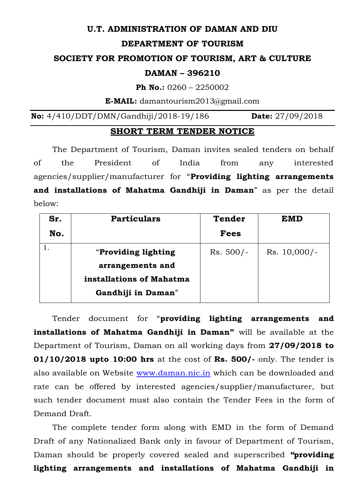# **U.T. ADMINISTRATION OF DAMAN AND DIU**

#### **DEPARTMENT OF TOURISM**

## **SOCIETY FOR PROMOTION OF TOURISM, ART & CULTURE**

#### **DAMAN – 396210**

**Ph No.:** 0260 – 2250002

**E-MAIL:** [damantourism2013@gmail.com](mailto:damantourism2013@gmail.com)

**No:** 4/410/DDT/DMN/Gandhiji/2018-19/186 **Date:** 27/09/2018

# **SHORT TERM TENDER NOTICE**

The Department of Tourism, Daman invites sealed tenders on behalf of the President of India from any interested agencies/supplier/manufacturer for "**Providing lighting arrangements and installations of Mahatma Gandhiji in Daman**" as per the detail below:

| Sr. | <b>Particulars</b>       | <b>Tender</b> | <b>EMD</b>     |
|-----|--------------------------|---------------|----------------|
| No. |                          | <b>Fees</b>   |                |
|     | "Providing lighting      | $Rs. 500/-$   | $Rs. 10,000/-$ |
|     | arrangements and         |               |                |
|     | installations of Mahatma |               |                |
|     | Gandhiji in Daman"       |               |                |

Tender document for "**providing lighting arrangements and installations of Mahatma Gandhiji in Daman"** will be available at the Department of Tourism, Daman on all working days from **27/09/2018 to 01/10/2018 upto 10:00 hrs** at the cost of **Rs. 500/-** only. The tender is also available on Website [www.daman.nic.in](http://www.daman.nic.in/) which can be downloaded and rate can be offered by interested agencies/supplier/manufacturer, but such tender document must also contain the Tender Fees in the form of Demand Draft.

The complete tender form along with EMD in the form of Demand Draft of any Nationalized Bank only in favour of Department of Tourism, Daman should be properly covered sealed and superscribed *"***providing lighting arrangements and installations of Mahatma Gandhiji in**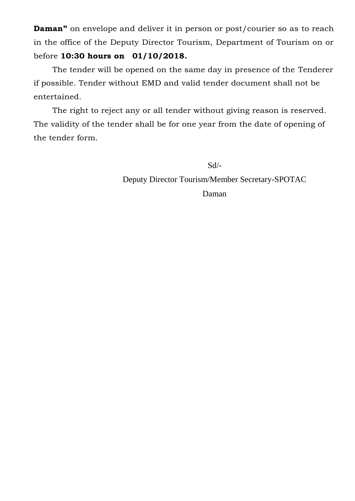**Daman"** on envelope and deliver it in person or post/courier so as to reach in the office of the Deputy Director Tourism, Department of Tourism on or before **10:30 hours on 01/10/2018.**

The tender will be opened on the same day in presence of the Tenderer if possible. Tender without EMD and valid tender document shall not be entertained.

The right to reject any or all tender without giving reason is reserved. The validity of the tender shall be for one year from the date of opening of the tender form.

Sd/-

Deputy Director Tourism/Member Secretary-SPOTAC Daman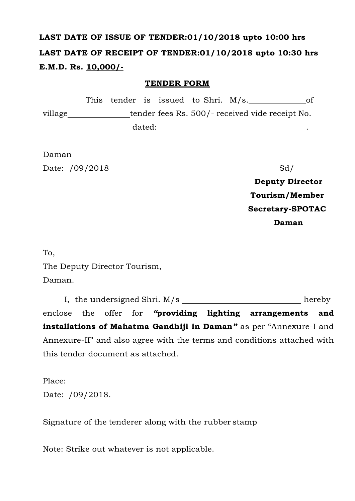# **LAST DATE OF ISSUE OF TENDER:01/10/2018 upto 10:00 hrs LAST DATE OF RECEIPT OF TENDER:01/10/2018 upto 10:30 hrs E.M.D. Rs. 10,000/-**

## **TENDER FORM**

|         |  |        | This tender is issued to Shri. M/s. | ot                                              |
|---------|--|--------|-------------------------------------|-------------------------------------------------|
| village |  |        |                                     | tender fees Rs. 500/- received vide receipt No. |
|         |  | dated: |                                     |                                                 |

Daman Date: /09/2018 Sd/

**Deputy Director Tourism/Member Secretary-SPOTAC Daman**

To,

The Deputy Director Tourism,

Daman.

I, the undersigned Shri. M/s hereby enclose the offer for *"***providing lighting arrangements and installations of Mahatma Gandhiji in Daman***"* as per "Annexure-I and Annexure-II" and also agree with the terms and conditions attached with this tender document as attached.

Place: Date: /09/2018.

Signature of the tenderer along with the rubber stamp

Note: Strike out whatever is not applicable.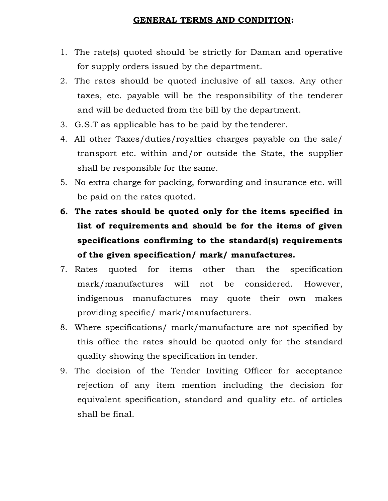#### **GENERAL TERMS AND CONDITION:**

- 1. The rate(s) quoted should be strictly for Daman and operative for supply orders issued by the department.
- 2. The rates should be quoted inclusive of all taxes. Any other taxes, etc. payable will be the responsibility of the tenderer and will be deducted from the bill by the department.
- 3. G.S.T as applicable has to be paid by the tenderer.
- 4. All other Taxes/duties/royalties charges payable on the sale/ transport etc. within and/or outside the State, the supplier shall be responsible for the same.
- 5. No extra charge for packing, forwarding and insurance etc. will be paid on the rates quoted.
- **6. The rates should be quoted only for the items specified in list of requirements and should be for the items of given specifications confirming to the standard(s) requirements of the given specification/ mark/ manufactures.**
- 7. Rates quoted for items other than the specification mark/manufactures will not be considered. However, indigenous manufactures may quote their own makes providing specific/ mark/manufacturers.
- 8. Where specifications/ mark/manufacture are not specified by this office the rates should be quoted only for the standard quality showing the specification in tender.
- 9. The decision of the Tender Inviting Officer for acceptance rejection of any item mention including the decision for equivalent specification, standard and quality etc. of articles shall be final.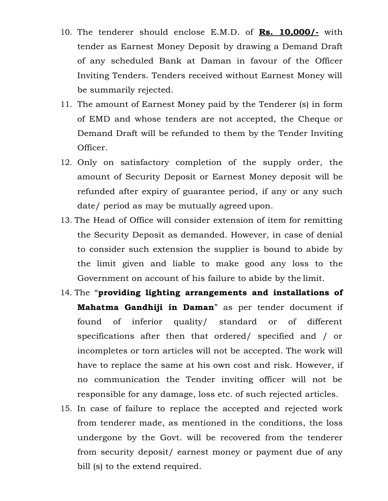- 10. The tenderer should enclose E.M.D. of **Rs. 10,000/-** with tender as Earnest Money Deposit by drawing a Demand Draft of any scheduled Bank at Daman in favour of the Officer Inviting Tenders. Tenders received without Earnest Money will be summarily rejected.
- 11. The amount of Earnest Money paid by the Tenderer (s) in form of EMD and whose tenders are not accepted, the Cheque or Demand Draft will be refunded to them by the Tender Inviting Officer.
- 12. Only on satisfactory completion of the supply order, the amount of Security Deposit or Earnest Money deposit will be refunded after expiry of guarantee period, if any or any such date/ period as may be mutually agreed upon.
- 13. The Head of Office will consider extension of item for remitting the Security Deposit as demanded. However, in case of denial to consider such extension the supplier is bound to abide by the limit given and liable to make good any loss to the Government on account of his failure to abide by the limit.
- 14. The "**providing lighting arrangements and installations of Mahatma Gandhiji in Daman**" as per tender document if found of inferior quality/ standard or of different specifications after then that ordered/ specified and / or incompletes or torn articles will not be accepted. The work will have to replace the same at his own cost and risk. However, if no communication the Tender inviting officer will not be responsible for any damage, loss etc. of such rejected articles.
- 15. In case of failure to replace the accepted and rejected work from tenderer made, as mentioned in the conditions, the loss undergone by the Govt. will be recovered from the tenderer from security deposit/ earnest money or payment due of any bill (s) to the extend required.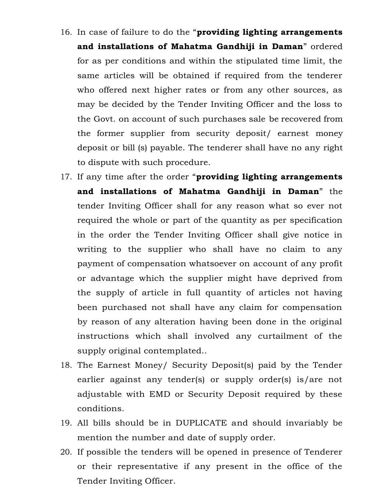- 16. In case of failure to do the "**providing lighting arrangements and installations of Mahatma Gandhiji in Daman**" ordered for as per conditions and within the stipulated time limit, the same articles will be obtained if required from the tenderer who offered next higher rates or from any other sources, as may be decided by the Tender Inviting Officer and the loss to the Govt. on account of such purchases sale be recovered from the former supplier from security deposit/ earnest money deposit or bill (s) payable. The tenderer shall have no any right to dispute with such procedure.
- 17. If any time after the order "**providing lighting arrangements and installations of Mahatma Gandhiji in Daman**" the tender Inviting Officer shall for any reason what so ever not required the whole or part of the quantity as per specification in the order the Tender Inviting Officer shall give notice in writing to the supplier who shall have no claim to any payment of compensation whatsoever on account of any profit or advantage which the supplier might have deprived from the supply of article in full quantity of articles not having been purchased not shall have any claim for compensation by reason of any alteration having been done in the original instructions which shall involved any curtailment of the supply original contemplated..
- 18. The Earnest Money/ Security Deposit(s) paid by the Tender earlier against any tender(s) or supply order(s) is/are not adjustable with EMD or Security Deposit required by these conditions.
- 19. All bills should be in DUPLICATE and should invariably be mention the number and date of supply order.
- 20. If possible the tenders will be opened in presence of Tenderer or their representative if any present in the office of the Tender Inviting Officer.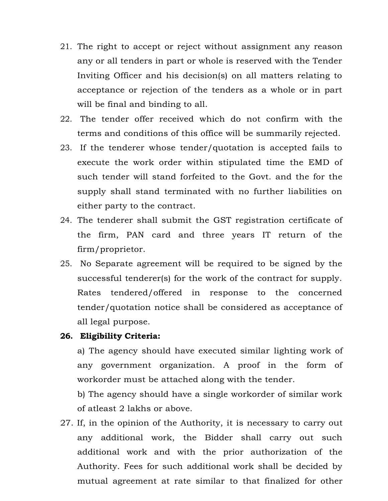- 21. The right to accept or reject without assignment any reason any or all tenders in part or whole is reserved with the Tender Inviting Officer and his decision(s) on all matters relating to acceptance or rejection of the tenders as a whole or in part will be final and binding to all.
- 22. The tender offer received which do not confirm with the terms and conditions of this office will be summarily rejected.
- 23. If the tenderer whose tender/quotation is accepted fails to execute the work order within stipulated time the EMD of such tender will stand forfeited to the Govt. and the for the supply shall stand terminated with no further liabilities on either party to the contract.
- 24. The tenderer shall submit the GST registration certificate of the firm, PAN card and three years IT return of the firm/proprietor.
- 25. No Separate agreement will be required to be signed by the successful tenderer(s) for the work of the contract for supply. Rates tendered/offered in response to the concerned tender/quotation notice shall be considered as acceptance of all legal purpose.

#### **26. Eligibility Criteria:**

a) The agency should have executed similar lighting work of any government organization. A proof in the form of workorder must be attached along with the tender.

b) The agency should have a single workorder of similar work of atleast 2 lakhs or above.

27. If, in the opinion of the Authority, it is necessary to carry out any additional work, the Bidder shall carry out such additional work and with the prior authorization of the Authority. Fees for such additional work shall be decided by mutual agreement at rate similar to that finalized for other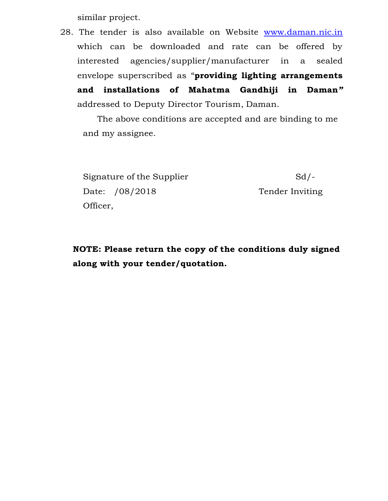similar project.

28. The tender is also available on Website [www.daman.nic.in](http://www.daman.nic.in/) which can be downloaded and rate can be offered by interested agencies/supplier/manufacturer in a sealed envelope superscribed as "**providing lighting arrangements and installations of Mahatma Gandhiji in Daman***"*  addressed to Deputy Director Tourism, Daman.

The above conditions are accepted and are binding to me and my assignee.

Signature of the Supplier Sd/-Date: /08/2018 Tender Inviting Officer,

**NOTE: Please return the copy of the conditions duly signed along with your tender/quotation.**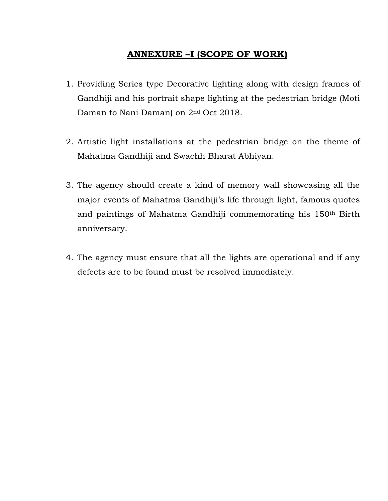# **ANNEXURE –I (SCOPE OF WORK)**

- 1. Providing Series type Decorative lighting along with design frames of Gandhiji and his portrait shape lighting at the pedestrian bridge (Moti Daman to Nani Daman) on 2nd Oct 2018.
- 2. Artistic light installations at the pedestrian bridge on the theme of Mahatma Gandhiji and Swachh Bharat Abhiyan.
- 3. The agency should create a kind of memory wall showcasing all the major events of Mahatma Gandhiji's life through light, famous quotes and paintings of Mahatma Gandhiji commemorating his 150th Birth anniversary.
- 4. The agency must ensure that all the lights are operational and if any defects are to be found must be resolved immediately.